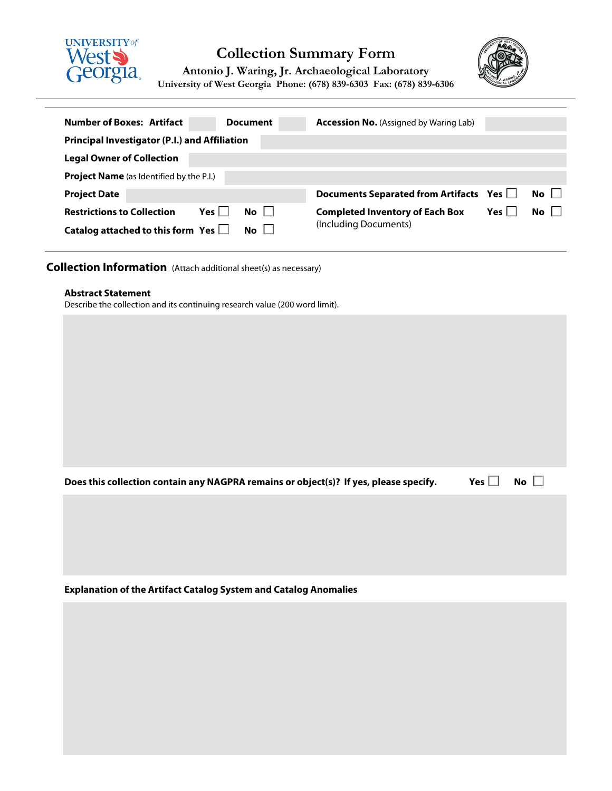



**Antonio J. Waring, Jr. Archaeological Laboratory University of West Georgia Phone: (678) 839-6303 Fax: (678) 839-6306**

| <b>Number of Boxes: Artifact</b><br><b>Document</b>                               | <b>Accession No.</b> (Assigned by Waring Lab)                     |  |  |  |  |  |  |  |  |
|-----------------------------------------------------------------------------------|-------------------------------------------------------------------|--|--|--|--|--|--|--|--|
| <b>Principal Investigator (P.I.) and Affiliation</b>                              |                                                                   |  |  |  |  |  |  |  |  |
| <b>Legal Owner of Collection</b>                                                  |                                                                   |  |  |  |  |  |  |  |  |
| <b>Project Name</b> (as Identified by the P.I.)                                   |                                                                   |  |  |  |  |  |  |  |  |
| <b>Project Date</b>                                                               | $No$ $\Box$<br>Documents Separated from Artifacts Yes             |  |  |  |  |  |  |  |  |
| $Yes \mid \mid$<br><b>No</b><br><b>Restrictions to Collection</b><br>$\mathbf{1}$ | $No$ $\vert$<br>Yes l l<br><b>Completed Inventory of Each Box</b> |  |  |  |  |  |  |  |  |
| Catalog attached to this form Yes $\Box$<br>No.                                   | (Including Documents)                                             |  |  |  |  |  |  |  |  |

**Collection Information** (Attach additional sheet(s) as necessary)

## **Abstract Statement**

Describe the collection and its continuing research value (200 word limit).

| Yes $\Box$ No $\Box$<br>Does this collection contain any NAGPRA remains or object(s)? If yes, please specify. |  |  |
|---------------------------------------------------------------------------------------------------------------|--|--|
|---------------------------------------------------------------------------------------------------------------|--|--|

**Explanation of the Artifact Catalog System and Catalog Anomalies**